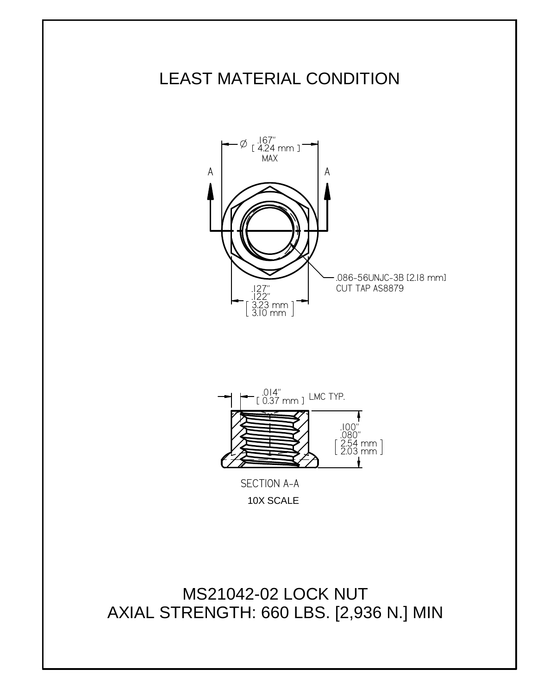



10X SCALE

MS21042-02 LOCK NUT AXIAL STRENGTH: 660 LBS. [2,936 N.] MIN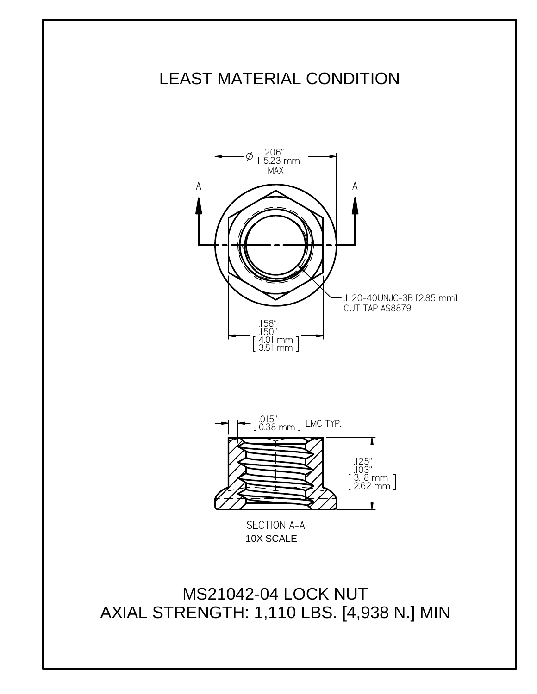



10X SCALE

MS21042-04 LOCK NUT AXIAL STRENGTH: 1,110 LBS. [4,938 N.] MIN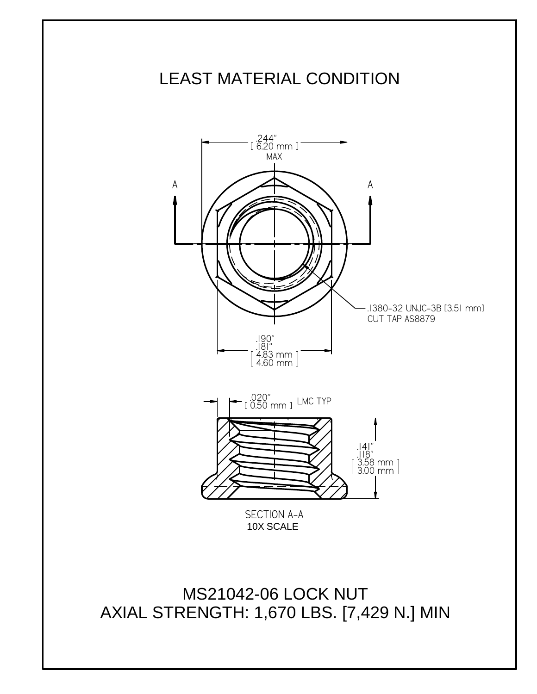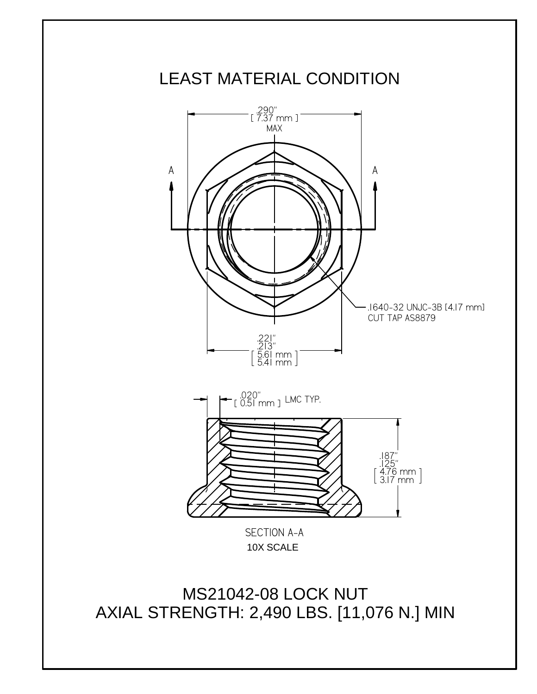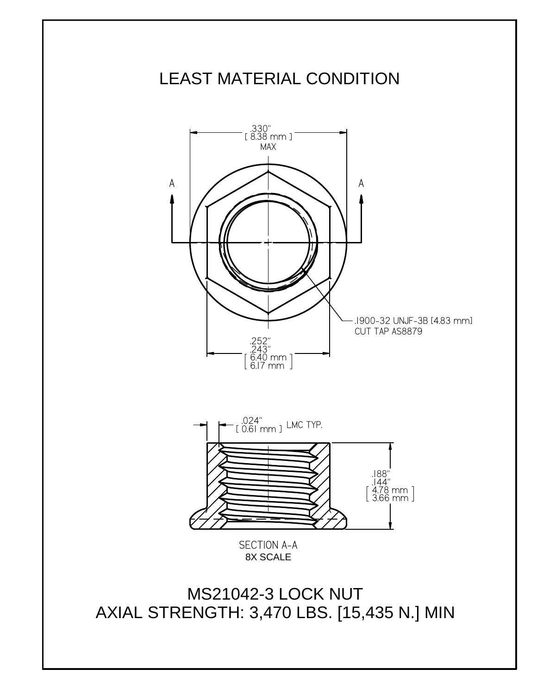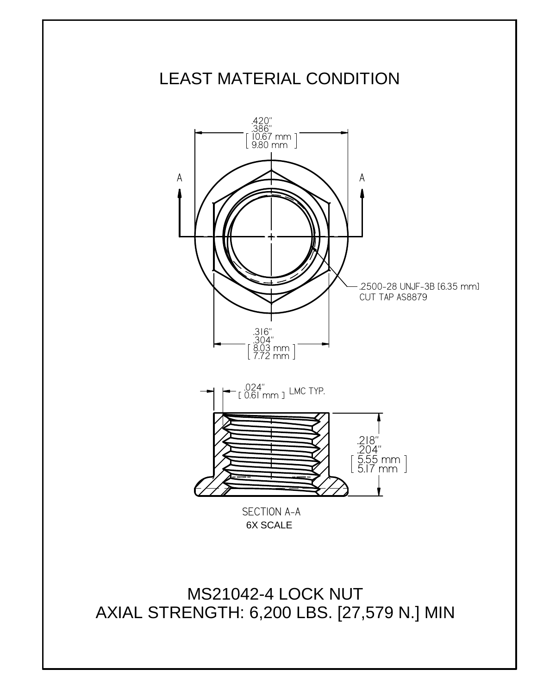

MS21042-4 LOCK NUT AXIAL STRENGTH: 6,200 LBS. [27,579 N.] MIN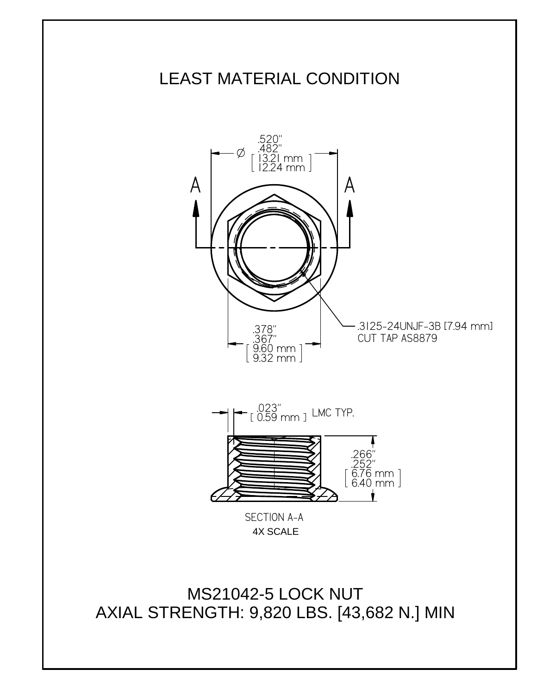

MS21042-5 LOCK NUT AXIAL STRENGTH: 9,820 LBS. [43,682 N.] MIN